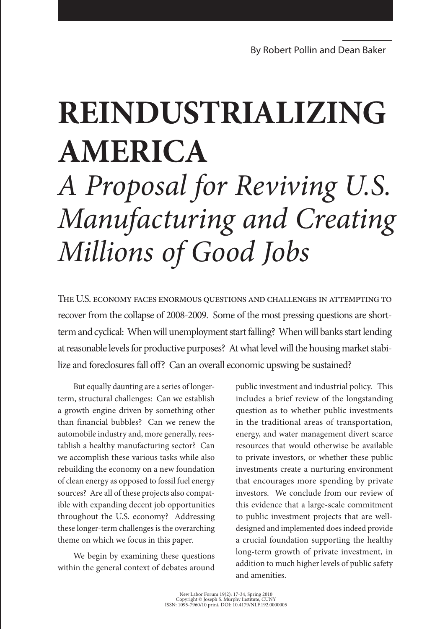# **REindustrializing America**

# *A Proposal for Reviving U.S. Manufacturing and Creating Millions of Good Jobs*

The U.S. economy faces enormous questions and challenges in attempting to recover from the collapse of 2008-2009. Some of the most pressing questions are shortterm and cyclical: When will unemployment start falling? When will banks start lending at reasonable levels for productive purposes? At what level will the housing market stabilize and foreclosures fall off? Can an overall economic upswing be sustained?

But equally daunting are a series of longerterm, structural challenges: Can we establish a growth engine driven by something other than financial bubbles? Can we renew the automobile industry and, more generally, reestablish a healthy manufacturing sector? Can we accomplish these various tasks while also rebuilding the economy on a new foundation of clean energy as opposed to fossil fuel energy sources? Are all of these projects also compatible with expanding decent job opportunities throughout the U.S. economy? Addressing these longer-term challenges is the overarching theme on which we focus in this paper.

We begin by examining these questions within the general context of debates around public investment and industrial policy. This includes a brief review of the longstanding question as to whether public investments in the traditional areas of transportation, energy, and water management divert scarce resources that would otherwise be available to private investors, or whether these public investments create a nurturing environment that encourages more spending by private investors. We conclude from our review of this evidence that a large-scale commitment to public investment projects that are welldesigned and implemented does indeed provide a crucial foundation supporting the healthy long-term growth of private investment, in addition to much higher levels of public safety and amenities.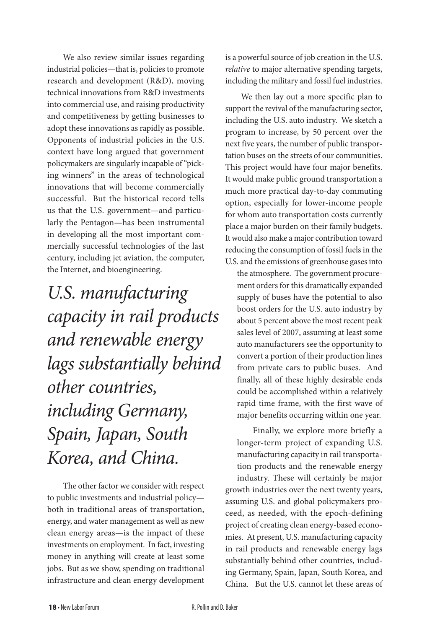We also review similar issues regarding industrial policies—that is, policies to promote research and development (R&D), moving technical innovations from R&D investments into commercial use, and raising productivity and competitiveness by getting businesses to adopt these innovations as rapidly as possible. Opponents of industrial policies in the U.S. context have long argued that government policymakers are singularly incapable of "picking winners" in the areas of technological innovations that will become commercially successful. But the historical record tells us that the U.S. government—and particularly the Pentagon—has been instrumental in developing all the most important commercially successful technologies of the last century, including jet aviation, the computer, the Internet, and bioengineering.

*U.S. manufacturing capacity in rail products and renewable energy lags substantially behind other countries, including Germany, Spain, Japan, South Korea, and China.* 

The other factor we consider with respect to public investments and industrial policy both in traditional areas of transportation, energy, and water management as well as new clean energy areas—is the impact of these investments on employment. In fact, investing money in anything will create at least some jobs. But as we show, spending on traditional infrastructure and clean energy development

is a powerful source of job creation in the U.S. *relative* to major alternative spending targets, including the military and fossil fuel industries.

We then lay out a more specific plan to support the revival of the manufacturing sector, including the U.S. auto industry. We sketch a program to increase, by 50 percent over the next five years, the number of public transportation buses on the streets of our communities. This project would have four major benefits. It would make public ground transportation a much more practical day-to-day commuting option, especially for lower-income people for whom auto transportation costs currently place a major burden on their family budgets. It would also make a major contribution toward reducing the consumption of fossil fuels in the U.S. and the emissions of greenhouse gases into

the atmosphere. The government procurement orders for this dramatically expanded supply of buses have the potential to also boost orders for the U.S. auto industry by about 5 percent above the most recent peak sales level of 2007, assuming at least some auto manufacturers see the opportunity to convert a portion of their production lines from private cars to public buses. And finally, all of these highly desirable ends could be accomplished within a relatively rapid time frame, with the first wave of major benefits occurring within one year.

Finally, we explore more briefly a longer-term project of expanding U.S. manufacturing capacity in rail transportation products and the renewable energy industry. These will certainly be major growth industries over the next twenty years, assuming U.S. and global policymakers proceed, as needed, with the epoch-defining project of creating clean energy-based economies. At present, U.S. manufacturing capacity in rail products and renewable energy lags substantially behind other countries, including Germany, Spain, Japan, South Korea, and China. But the U.S. cannot let these areas of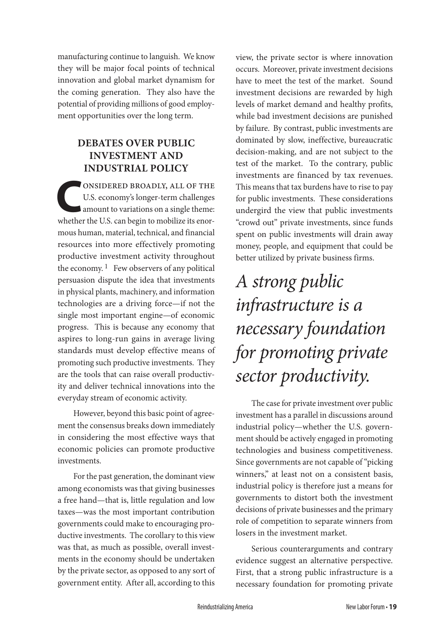manufacturing continue to languish. We know they will be major focal points of technical innovation and global market dynamism for the coming generation. They also have the potential of providing millions of good employment opportunities over the long term.

### **Debates over Public Investment and Industrial Policy**

**CONSIDERED BROADLY, ALL OF THE<br>
U.S. economy's longer-term challenges<br>
amount to variations on a single theme:<br>
vibather the U.S. can begin to mobilize its anor** U.S. economy's longer-term challenges amount to variations on a single theme: whether the U.S. can begin to mobilize its enormous human, material, technical, and financial resources into more effectively promoting productive investment activity throughout the economy.  $1$  Few observers of any political persuasion dispute the idea that investments in physical plants, machinery, and information technologies are a driving force—if not the single most important engine—of economic progress. This is because any economy that aspires to long-run gains in average living standards must develop effective means of promoting such productive investments. They are the tools that can raise overall productivity and deliver technical innovations into the everyday stream of economic activity.

However, beyond this basic point of agreement the consensus breaks down immediately in considering the most effective ways that economic policies can promote productive investments.

For the past generation, the dominant view among economists was that giving businesses a free hand—that is, little regulation and low taxes—was the most important contribution governments could make to encouraging productive investments. The corollary to this view was that, as much as possible, overall investments in the economy should be undertaken by the private sector, as opposed to any sort of government entity. After all, according to this

view, the private sector is where innovation occurs. Moreover, private investment decisions have to meet the test of the market. Sound investment decisions are rewarded by high levels of market demand and healthy profits, while bad investment decisions are punished by failure. By contrast, public investments are dominated by slow, ineffective, bureaucratic decision-making, and are not subject to the test of the market. To the contrary, public investments are financed by tax revenues. This means that tax burdens have to rise to pay for public investments. These considerations undergird the view that public investments "crowd out" private investments, since funds spent on public investments will drain away money, people, and equipment that could be better utilized by private business firms.

# *A strong public infrastructure is a necessary foundation for promoting private sector productivity.*

The case for private investment over public investment has a parallel in discussions around industrial policy—whether the U.S. government should be actively engaged in promoting technologies and business competitiveness. Since governments are not capable of "picking winners," at least not on a consistent basis, industrial policy is therefore just a means for governments to distort both the investment decisions of private businesses and the primary role of competition to separate winners from losers in the investment market.

Serious counterarguments and contrary evidence suggest an alternative perspective. First, that a strong public infrastructure is a necessary foundation for promoting private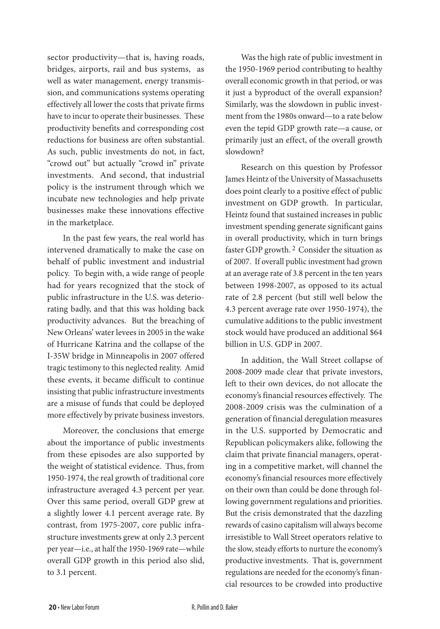sector productivity—that is, having roads, bridges, airports, rail and bus systems, as well as water management, energy transmission, and communications systems operating effectively all lower the costs that private firms have to incur to operate their businesses. These productivity benefits and corresponding cost reductions for business are often substantial. As such, public investments do not, in fact, "crowd out" but actually "crowd in" private investments. And second, that industrial policy is the instrument through which we incubate new technologies and help private businesses make these innovations effective in the marketplace.

In the past few years, the real world has intervened dramatically to make the case on behalf of public investment and industrial policy. To begin with, a wide range of people had for years recognized that the stock of public infrastructure in the U.S. was deteriorating badly, and that this was holding back productivity advances. But the breaching of New Orleans' water levees in 2005 in the wake of Hurricane Katrina and the collapse of the I-35W bridge in Minneapolis in 2007 offered tragic testimony to this neglected reality. Amid these events, it became difficult to continue insisting that public infrastructure investments are a misuse of funds that could be deployed more effectively by private business investors.

Moreover, the conclusions that emerge about the importance of public investments from these episodes are also supported by the weight of statistical evidence. Thus, from 1950-1974, the real growth of traditional core infrastructure averaged 4.3 percent per year. Over this same period, overall GDP grew at a slightly lower 4.1 percent average rate. By contrast, from 1975-2007, core public infrastructure investments grew at only 2.3 percent per year—i.e., at half the 1950-1969 rate—while overall GDP growth in this period also slid, to 3.1 percent.

Was the high rate of public investment in the 1950-1969 period contributing to healthy overall economic growth in that period, or was it just a byproduct of the overall expansion? Similarly, was the slowdown in public investment from the 1980s onward—to a rate below even the tepid GDP growth rate—a cause, or primarily just an effect, of the overall growth slowdown?

Research on this question by Professor James Heintz of the University of Massachusetts does point clearly to a positive effect of public investment on GDP growth. In particular, Heintz found that sustained increases in public investment spending generate significant gains in overall productivity, which in turn brings faster GDP growth. 2 Consider the situation as of 2007. If overall public investment had grown at an average rate of 3.8 percent in the ten years between 1998-2007, as opposed to its actual rate of 2.8 percent (but still well below the 4.3 percent average rate over 1950-1974), the cumulative additions to the public investment stock would have produced an additional \$64 billion in U.S. GDP in 2007.

In addition, the Wall Street collapse of 2008-2009 made clear that private investors, left to their own devices, do not allocate the economy's financial resources effectively. The 2008-2009 crisis was the culmination of a generation of financial deregulation measures in the U.S. supported by Democratic and Republican policymakers alike, following the claim that private financial managers, operating in a competitive market, will channel the economy's financial resources more effectively on their own than could be done through following government regulations and priorities. But the crisis demonstrated that the dazzling rewards of casino capitalism will always become irresistible to Wall Street operators relative to the slow, steady efforts to nurture the economy's productive investments. That is, government regulations are needed for the economy's financial resources to be crowded into productive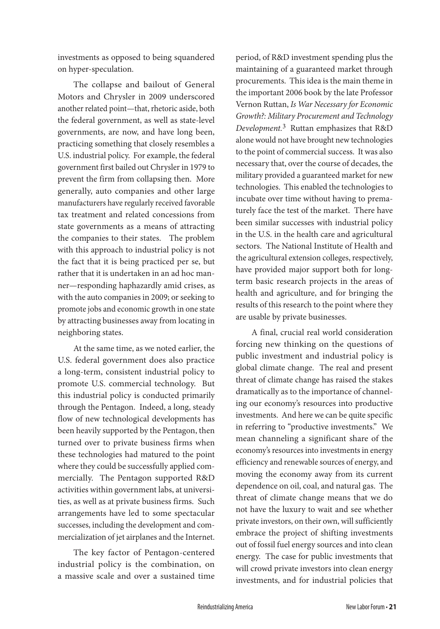investments as opposed to being squandered on hyper-speculation.

The collapse and bailout of General Motors and Chrysler in 2009 underscored another related point—that, rhetoric aside, both the federal government, as well as state-level governments, are now, and have long been, practicing something that closely resembles a U.S. industrial policy. For example, the federal government first bailed out Chrysler in 1979 to prevent the firm from collapsing then. More generally, auto companies and other large manufacturers have regularly received favorable tax treatment and related concessions from state governments as a means of attracting the companies to their states. The problem with this approach to industrial policy is not the fact that it is being practiced per se, but rather that it is undertaken in an ad hoc manner—responding haphazardly amid crises, as with the auto companies in 2009; or seeking to promote jobs and economic growth in one state by attracting businesses away from locating in neighboring states.

At the same time, as we noted earlier, the U.S. federal government does also practice a long-term, consistent industrial policy to promote U.S. commercial technology. But this industrial policy is conducted primarily through the Pentagon. Indeed, a long, steady flow of new technological developments has been heavily supported by the Pentagon, then turned over to private business firms when these technologies had matured to the point where they could be successfully applied commercially. The Pentagon supported R&D activities within government labs, at universities, as well as at private business firms. Such arrangements have led to some spectacular successes, including the development and commercialization of jet airplanes and the Internet.

The key factor of Pentagon-centered industrial policy is the combination, on a massive scale and over a sustained time

period, of R&D investment spending plus the maintaining of a guaranteed market through procurements. This idea is the main theme in the important 2006 book by the late Professor Vernon Ruttan, *Is War Necessary for Economic Growth?: Military Procurement and Technology Development.*3 Ruttan emphasizes that R&D alone would not have brought new technologies to the point of commercial success. It was also necessary that, over the course of decades, the military provided a guaranteed market for new technologies. This enabled the technologies to incubate over time without having to prematurely face the test of the market. There have been similar successes with industrial policy in the U.S. in the health care and agricultural sectors. The National Institute of Health and the agricultural extension colleges, respectively, have provided major support both for longterm basic research projects in the areas of health and agriculture, and for bringing the results of this research to the point where they are usable by private businesses.

A final, crucial real world consideration forcing new thinking on the questions of public investment and industrial policy is global climate change. The real and present threat of climate change has raised the stakes dramatically as to the importance of channeling our economy's resources into productive investments. And here we can be quite specific in referring to "productive investments." We mean channeling a significant share of the economy's resources into investments in energy efficiency and renewable sources of energy, and moving the economy away from its current dependence on oil, coal, and natural gas. The threat of climate change means that we do not have the luxury to wait and see whether private investors, on their own, will sufficiently embrace the project of shifting investments out of fossil fuel energy sources and into clean energy. The case for public investments that will crowd private investors into clean energy investments, and for industrial policies that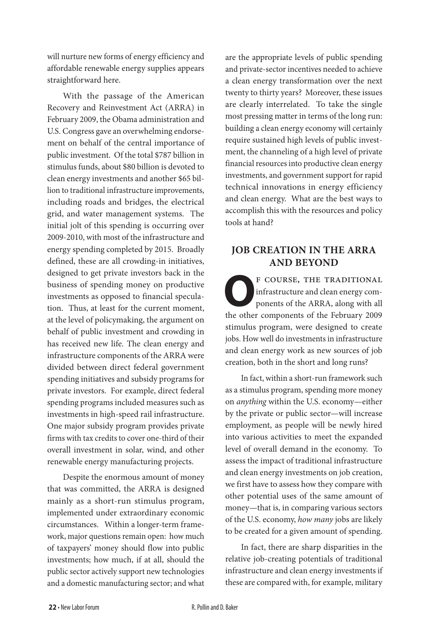will nurture new forms of energy efficiency and affordable renewable energy supplies appears straightforward here.

With the passage of the American Recovery and Reinvestment Act (ARRA) in February 2009, the Obama administration and U.S. Congress gave an overwhelming endorsement on behalf of the central importance of public investment. Of the total \$787 billion in stimulus funds, about \$80 billion is devoted to clean energy investments and another \$65 billion to traditional infrastructure improvements, including roads and bridges, the electrical grid, and water management systems. The initial jolt of this spending is occurring over 2009-2010, with most of the infrastructure and energy spending completed by 2015. Broadly defined, these are all crowding-in initiatives, designed to get private investors back in the business of spending money on productive investments as opposed to financial speculation. Thus, at least for the current moment, at the level of policymaking, the argument on behalf of public investment and crowding in has received new life. The clean energy and infrastructure components of the ARRA were divided between direct federal government spending initiatives and subsidy programs for private investors. For example, direct federal spending programs included measures such as investments in high-speed rail infrastructure. One major subsidy program provides private firms with tax credits to cover one-third of their overall investment in solar, wind, and other renewable energy manufacturing projects.

Despite the enormous amount of money that was committed, the ARRA is designed mainly as a short-run stimulus program, implemented under extraordinary economic circumstances. Within a longer-term framework, major questions remain open: how much of taxpayers' money should flow into public investments; how much, if at all, should the public sector actively support new technologies and a domestic manufacturing sector; and what

are the appropriate levels of public spending and private-sector incentives needed to achieve a clean energy transformation over the next twenty to thirty years? Moreover, these issues are clearly interrelated. To take the single most pressing matter in terms of the long run: building a clean energy economy will certainly require sustained high levels of public investment, the channeling of a high level of private financial resources into productive clean energy investments, and government support for rapid technical innovations in energy efficiency and clean energy. What are the best ways to accomplish this with the resources and policy tools at hand?

#### **Job Creation in the ARRA and Beyond**

**P** COURSE, THE TRADITIONAL<br>infrastructure and clean energy com-<br>ponents of the ARRA, along with all<br>the other components of the Esbruary 2000 infrastructure and clean energy components of the ARRA, along with all the other components of the February 2009 stimulus program, were designed to create jobs. How well do investments in infrastructure and clean energy work as new sources of job creation, both in the short and long runs?

In fact, within a short-run framework such as a stimulus program, spending more money on *anything* within the U.S. economy—either by the private or public sector—will increase employment, as people will be newly hired into various activities to meet the expanded level of overall demand in the economy. To assess the impact of traditional infrastructure and clean energy investments on job creation, we first have to assess how they compare with other potential uses of the same amount of money—that is, in comparing various sectors of the U.S. economy, *how many* jobs are likely to be created for a given amount of spending.

In fact, there are sharp disparities in the relative job-creating potentials of traditional infrastructure and clean energy investments if these are compared with, for example, military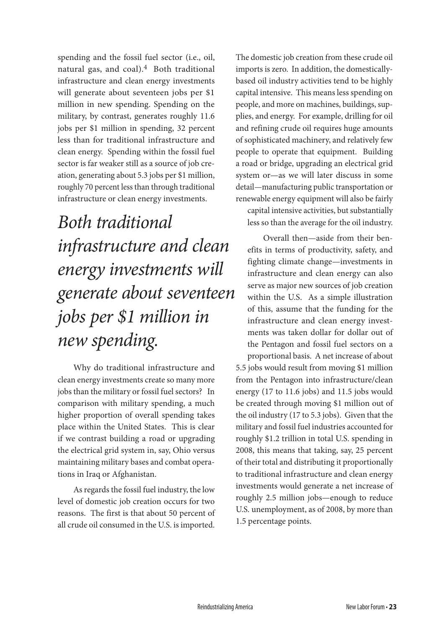spending and the fossil fuel sector (i.e., oil, natural gas, and coal).<sup>4</sup> Both traditional infrastructure and clean energy investments will generate about seventeen jobs per \$1 million in new spending. Spending on the military, by contrast, generates roughly 11.6 jobs per \$1 million in spending, 32 percent less than for traditional infrastructure and clean energy. Spending within the fossil fuel sector is far weaker still as a source of job creation, generating about 5.3 jobs per \$1 million, roughly 70 percent less than through traditional infrastructure or clean energy investments.

# *Both traditional infrastructure and clean energy investments will generate about seventeen jobs per \$1 million in new spending.*

Why do traditional infrastructure and clean energy investments create so many more jobs than the military or fossil fuel sectors? In comparison with military spending, a much higher proportion of overall spending takes place within the United States. This is clear if we contrast building a road or upgrading the electrical grid system in, say, Ohio versus maintaining military bases and combat operations in Iraq or Afghanistan.

As regards the fossil fuel industry, the low level of domestic job creation occurs for two reasons. The first is that about 50 percent of all crude oil consumed in the U.S. is imported.

The domestic job creation from these crude oil imports is zero. In addition, the domesticallybased oil industry activities tend to be highly capital intensive. This means less spending on people, and more on machines, buildings, supplies, and energy. For example, drilling for oil and refining crude oil requires huge amounts of sophisticated machinery, and relatively few people to operate that equipment. Building a road or bridge, upgrading an electrical grid system or—as we will later discuss in some detail—manufacturing public transportation or renewable energy equipment will also be fairly capital intensive activities, but substantially less so than the average for the oil industry.

Overall then—aside from their benefits in terms of productivity, safety, and fighting climate change—investments in infrastructure and clean energy can also serve as major new sources of job creation within the U.S. As a simple illustration of this, assume that the funding for the infrastructure and clean energy investments was taken dollar for dollar out of the Pentagon and fossil fuel sectors on a proportional basis. A net increase of about 5.5 jobs would result from moving \$1 million from the Pentagon into infrastructure/clean energy (17 to 11.6 jobs) and 11.5 jobs would be created through moving \$1 million out of the oil industry (17 to 5.3 jobs). Given that the military and fossil fuel industries accounted for roughly \$1.2 trillion in total U.S. spending in 2008, this means that taking, say, 25 percent of their total and distributing it proportionally to traditional infrastructure and clean energy investments would generate a net increase of roughly 2.5 million jobs—enough to reduce U.S. unemployment, as of 2008, by more than 1.5 percentage points.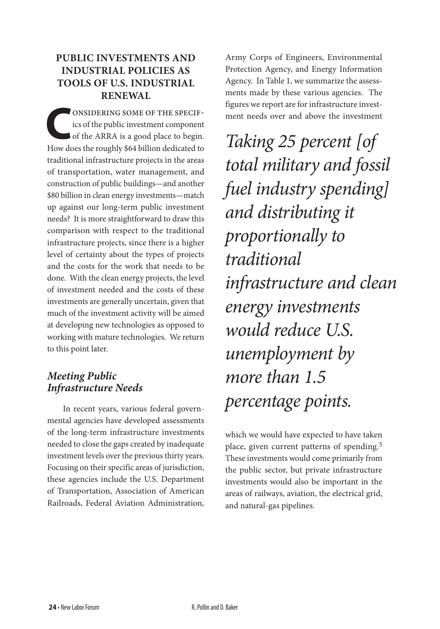### **Public Investments and Industrial Policies as Tools of U.S. Industrial Renewal**

**CONSIDERING SOME OF THE SPECIF-**<br>
of the ARRA is a good place to begin.<br>
How does the roughly \$64 billion dedicated to ics of the public investment component How does the roughly \$64 billion dedicated to traditional infrastructure projects in the areas of transportation, water management, and construction of public buildings—and another \$80 billion in clean energy investments—match up against our long-term public investment needs? It is more straightforward to draw this comparison with respect to the traditional infrastructure projects, since there is a higher level of certainty about the types of projects and the costs for the work that needs to be done. With the clean energy projects, the level of investment needed and the costs of these investments are generally uncertain, given that much of the investment activity will be aimed at developing new technologies as opposed to working with mature technologies. We return to this point later.

### *Meeting Public Infrastructure Needs*

In recent years, various federal governmental agencies have developed assessments of the long-term infrastructure investments needed to close the gaps created by inadequate investment levels over the previous thirty years. Focusing on their specific areas of jurisdiction, these agencies include the U.S. Department of Transportation, Association of American Railroads, Federal Aviation Administration,

Army Corps of Engineers, Environmental Protection Agency, and Energy Information Agency. In Table 1, we summarize the assessments made by these various agencies. The figures we report are for infrastructure investment needs over and above the investment

*Taking 25 percent [of total military and fossil fuel industry spending] and distributing it proportionally to traditional infrastructure and clean energy investments would reduce U.S. unemployment by more than 1.5 percentage points.* 

which we would have expected to have taken place, given current patterns of spending.<sup>5</sup> These investments would come primarily from the public sector, but private infrastructure investments would also be important in the areas of railways, aviation, the electrical grid, and natural-gas pipelines.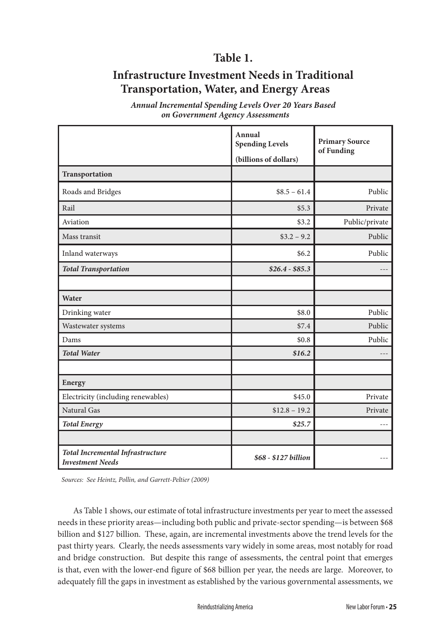### **Table 1.**

### **Infrastructure Investment Needs in Traditional Transportation, Water, and Energy Areas**

*Annual Incremental Spending Levels Over 20 Years Based on Government Agency Assessments*

|                                                                    | Annual<br><b>Spending Levels</b><br>(billions of dollars) | <b>Primary Source</b><br>of Funding |
|--------------------------------------------------------------------|-----------------------------------------------------------|-------------------------------------|
| Transportation                                                     |                                                           |                                     |
| Roads and Bridges                                                  | $$8.5 - 61.4$                                             | Public                              |
| Rail                                                               | \$5.3\$                                                   | Private                             |
| Aviation                                                           | \$3.2                                                     | Public/private                      |
| Mass transit                                                       | $$3.2 - 9.2$                                              | Public                              |
| Inland waterways                                                   | \$6.2\$                                                   | Public                              |
| <b>Total Transportation</b>                                        | $$26.4 - $85.3$                                           |                                     |
|                                                                    |                                                           |                                     |
| Water                                                              |                                                           |                                     |
| Drinking water                                                     | \$8.0                                                     | Public                              |
| Wastewater systems                                                 | \$7.4                                                     | Public                              |
| Dams                                                               | \$0.8                                                     | Public                              |
| <b>Total Water</b>                                                 | \$16.2\$                                                  |                                     |
|                                                                    |                                                           |                                     |
| Energy                                                             |                                                           |                                     |
| Electricity (including renewables)                                 | \$45.0                                                    | Private                             |
| Natural Gas                                                        | $$12.8 - 19.2$                                            | Private                             |
| <b>Total Energy</b>                                                | \$25.7                                                    | ---                                 |
|                                                                    |                                                           |                                     |
| <b>Total Incremental Infrastructure</b><br><b>Investment Needs</b> | \$68 - \$127 billion                                      |                                     |

*Sources: See Heintz, Pollin, and Garrett-Peltier (2009)*

As Table 1 shows, our estimate of total infrastructure investments per year to meet the assessed needs in these priority areas—including both public and private-sector spending—is between \$68 billion and \$127 billion. These, again, are incremental investments above the trend levels for the past thirty years. Clearly, the needs assessments vary widely in some areas, most notably for road and bridge construction. But despite this range of assessments, the central point that emerges is that, even with the lower-end figure of \$68 billion per year, the needs are large. Moreover, to adequately fill the gaps in investment as established by the various governmental assessments, we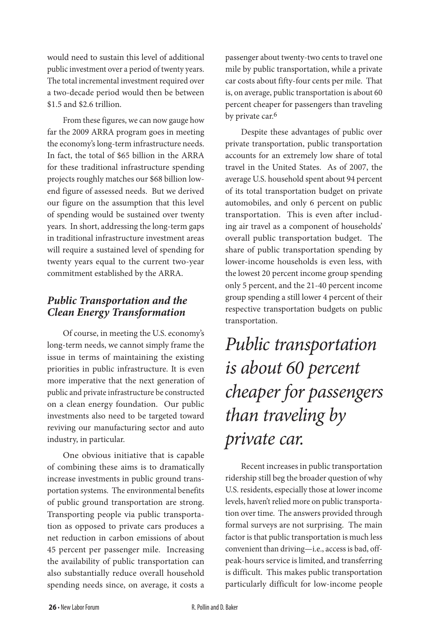would need to sustain this level of additional public investment over a period of twenty years. The total incremental investment required over a two-decade period would then be between \$1.5 and \$2.6 trillion.

From these figures, we can now gauge how far the 2009 ARRA program goes in meeting the economy's long-term infrastructure needs. In fact, the total of \$65 billion in the ARRA for these traditional infrastructure spending projects roughly matches our \$68 billion lowend figure of assessed needs. But we derived our figure on the assumption that this level of spending would be sustained over twenty years. In short, addressing the long-term gaps in traditional infrastructure investment areas will require a sustained level of spending for twenty years equal to the current two-year commitment established by the ARRA.

### *Public Transportation and the Clean Energy Transformation*

Of course, in meeting the U.S. economy's long-term needs, we cannot simply frame the issue in terms of maintaining the existing priorities in public infrastructure. It is even more imperative that the next generation of public and private infrastructure be constructed on a clean energy foundation. Our public investments also need to be targeted toward reviving our manufacturing sector and auto industry, in particular.

One obvious initiative that is capable of combining these aims is to dramatically increase investments in public ground transportation systems. The environmental benefits of public ground transportation are strong. Transporting people via public transportation as opposed to private cars produces a net reduction in carbon emissions of about 45 percent per passenger mile. Increasing the availability of public transportation can also substantially reduce overall household spending needs since, on average, it costs a

passenger about twenty-two cents to travel one mile by public transportation, while a private car costs about fifty-four cents per mile. That is, on average, public transportation is about 60 percent cheaper for passengers than traveling by private car.<sup>6</sup>

Despite these advantages of public over private transportation, public transportation accounts for an extremely low share of total travel in the United States. As of 2007, the average U.S. household spent about 94 percent of its total transportation budget on private automobiles, and only 6 percent on public transportation. This is even after including air travel as a component of households' overall public transportation budget. The share of public transportation spending by lower-income households is even less, with the lowest 20 percent income group spending only 5 percent, and the 21-40 percent income group spending a still lower 4 percent of their respective transportation budgets on public transportation.

# *Public transportation is about 60 percent cheaper for passengers than traveling by private car.*

Recent increases in public transportation ridership still beg the broader question of why U.S. residents, especially those at lower income levels, haven't relied more on public transportation over time. The answers provided through formal surveys are not surprising. The main factor is that public transportation is much less convenient than driving—i.e., access is bad, offpeak-hours service is limited, and transferring is difficult. This makes public transportation particularly difficult for low-income people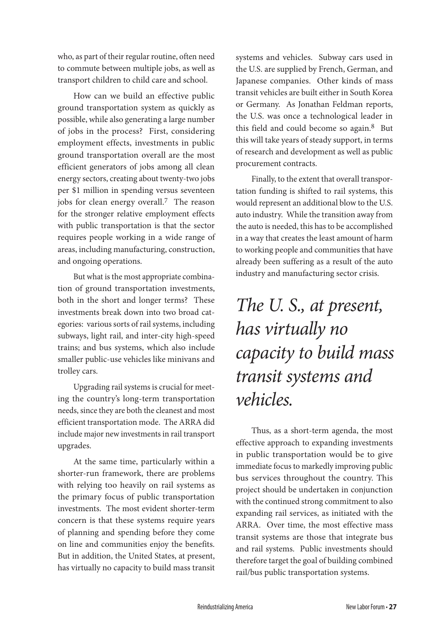who, as part of their regular routine, often need to commute between multiple jobs, as well as transport children to child care and school.

How can we build an effective public ground transportation system as quickly as possible, while also generating a large number of jobs in the process? First, considering employment effects, investments in public ground transportation overall are the most efficient generators of jobs among all clean energy sectors, creating about twenty-two jobs per \$1 million in spending versus seventeen jobs for clean energy overall.<sup>7</sup> The reason for the stronger relative employment effects with public transportation is that the sector requires people working in a wide range of areas, including manufacturing, construction, and ongoing operations.

But what is the most appropriate combination of ground transportation investments, both in the short and longer terms? These investments break down into two broad categories: various sorts of rail systems, including subways, light rail, and inter-city high-speed trains; and bus systems, which also include smaller public-use vehicles like minivans and trolley cars.

Upgrading rail systems is crucial for meeting the country's long-term transportation needs, since they are both the cleanest and most efficient transportation mode. The ARRA did include major new investments in rail transport upgrades.

At the same time, particularly within a shorter-run framework, there are problems with relying too heavily on rail systems as the primary focus of public transportation investments. The most evident shorter-term concern is that these systems require years of planning and spending before they come on line and communities enjoy the benefits. But in addition, the United States, at present, has virtually no capacity to build mass transit

systems and vehicles. Subway cars used in the U.S. are supplied by French, German, and Japanese companies. Other kinds of mass transit vehicles are built either in South Korea or Germany. As Jonathan Feldman reports, the U.S. was once a technological leader in this field and could become so again.8 But this will take years of steady support, in terms of research and development as well as public procurement contracts.

Finally, to the extent that overall transportation funding is shifted to rail systems, this would represent an additional blow to the U.S. auto industry. While the transition away from the auto is needed, this has to be accomplished in a way that creates the least amount of harm to working people and communities that have already been suffering as a result of the auto industry and manufacturing sector crisis.

### *The U. S., at present, has virtually no capacity to build mass transit systems and vehicles.*

Thus, as a short-term agenda, the most effective approach to expanding investments in public transportation would be to give immediate focus to markedly improving public bus services throughout the country. This project should be undertaken in conjunction with the continued strong commitment to also expanding rail services, as initiated with the ARRA. Over time, the most effective mass transit systems are those that integrate bus and rail systems. Public investments should therefore target the goal of building combined rail/bus public transportation systems.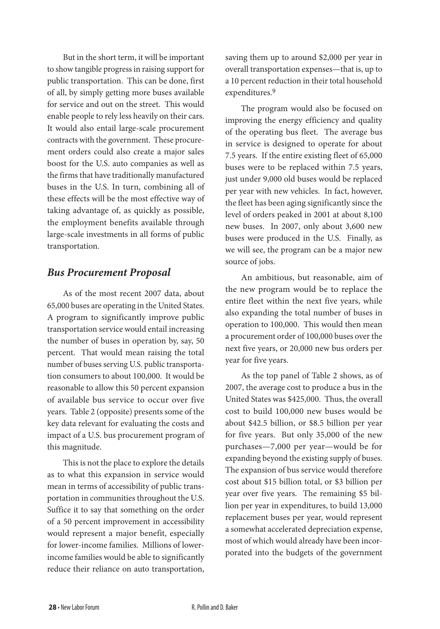But in the short term, it will be important to show tangible progress in raising support for public transportation. This can be done, first of all, by simply getting more buses available for service and out on the street. This would enable people to rely less heavily on their cars. It would also entail large-scale procurement contracts with the government. These procurement orders could also create a major sales boost for the U.S. auto companies as well as the firms that have traditionally manufactured buses in the U.S. In turn, combining all of these effects will be the most effective way of taking advantage of, as quickly as possible, the employment benefits available through large-scale investments in all forms of public transportation.

#### *Bus Procurement Proposal*

As of the most recent 2007 data, about 65,000 buses are operating in the United States. A program to significantly improve public transportation service would entail increasing the number of buses in operation by, say, 50 percent. That would mean raising the total number of buses serving U.S. public transportation consumers to about 100,000. It would be reasonable to allow this 50 percent expansion of available bus service to occur over five years. Table 2 (opposite) presents some of the key data relevant for evaluating the costs and impact of a U.S. bus procurement program of this magnitude.

This is not the place to explore the details as to what this expansion in service would mean in terms of accessibility of public transportation in communities throughout the U.S. Suffice it to say that something on the order of a 50 percent improvement in accessibility would represent a major benefit, especially for lower-income families. Millions of lowerincome families would be able to significantly reduce their reliance on auto transportation, saving them up to around \$2,000 per year in overall transportation expenses—that is, up to a 10 percent reduction in their total household expenditures.9

The program would also be focused on improving the energy efficiency and quality of the operating bus fleet. The average bus in service is designed to operate for about 7.5 years. If the entire existing fleet of 65,000 buses were to be replaced within 7.5 years, just under 9,000 old buses would be replaced per year with new vehicles. In fact, however, the fleet has been aging significantly since the level of orders peaked in 2001 at about 8,100 new buses. In 2007, only about 3,600 new buses were produced in the U.S. Finally, as we will see, the program can be a major new source of jobs.

An ambitious, but reasonable, aim of the new program would be to replace the entire fleet within the next five years, while also expanding the total number of buses in operation to 100,000. This would then mean a procurement order of 100,000 buses over the next five years, or 20,000 new bus orders per year for five years.

As the top panel of Table 2 shows, as of 2007, the average cost to produce a bus in the United States was \$425,000. Thus, the overall cost to build 100,000 new buses would be about \$42.5 billion, or \$8.5 billion per year for five years. But only 35,000 of the new purchases—7,000 per year—would be for expanding beyond the existing supply of buses. The expansion of bus service would therefore cost about \$15 billion total, or \$3 billion per year over five years. The remaining \$5 billion per year in expenditures, to build 13,000 replacement buses per year, would represent a somewhat accelerated depreciation expense, most of which would already have been incorporated into the budgets of the government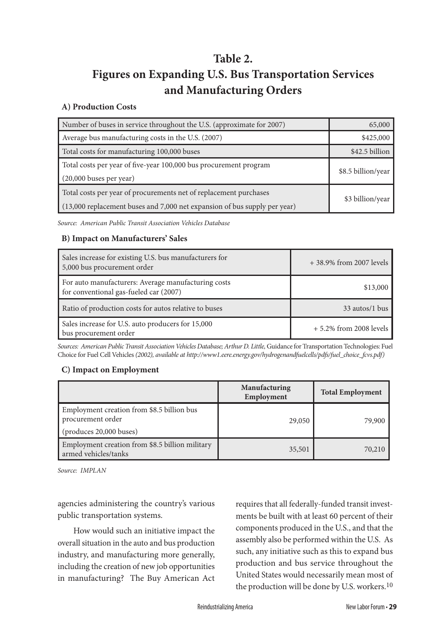### **Table 2.**

### **Figures on Expanding U.S. Bus Transportation Services and Manufacturing Orders**

#### **A) Production Costs**

| Number of buses in service throughout the U.S. (approximate for 2007)                                                                          | 65,000             |
|------------------------------------------------------------------------------------------------------------------------------------------------|--------------------|
| Average bus manufacturing costs in the U.S. (2007)                                                                                             | \$425,000          |
| Total costs for manufacturing 100,000 buses                                                                                                    | \$42.5 billion     |
| Total costs per year of five-year 100,000 bus procurement program<br>(20,000 buses per year)                                                   | \$8.5 billion/year |
| Total costs per year of procurements net of replacement purchases<br>(13,000 replacement buses and 7,000 net expansion of bus supply per year) | \$3 billion/year   |

*Source: American Public Transit Association Vehicles Database*

#### **B) Impact on Manufacturers' Sales**

| Sales increase for existing U.S. bus manufacturers for<br>5,000 bus procurement order         | + 38.9% from 2007 levels  |
|-----------------------------------------------------------------------------------------------|---------------------------|
| For auto manufacturers: Average manufacturing costs<br>for conventional gas-fueled car (2007) | \$13,000                  |
| Ratio of production costs for autos relative to buses                                         | 33 autos/1 bus            |
| Sales increase for U.S. auto producers for 15,000<br>bus procurement order                    | $+5.2\%$ from 2008 levels |

*Sources: American Public Transit Association Vehicles Database; Arthur D. Little,* Guidance for Transportation Technologies: Fuel Choice for Fuel Cell Vehicles *(2002), available at http://www1.eere.energy.gov/hydrogenandfuelcells/pdfs/fuel\_choice\_fcvs.pdf)*

#### **C) Impact on Employment**

|                                                                                                    | Manufacturing<br>Employment | <b>Total Employment</b> |
|----------------------------------------------------------------------------------------------------|-----------------------------|-------------------------|
| Employment creation from \$8.5 billion bus<br>procurement order<br>$\left($ produces 20,000 buses) | 29,050                      | 79,900                  |
| Employment creation from \$8.5 billion military<br>armed vehicles/tanks                            | 35,501                      | 70,210                  |

*Source: IMPLAN*

agencies administering the country's various public transportation systems.

How would such an initiative impact the overall situation in the auto and bus production industry, and manufacturing more generally, including the creation of new job opportunities in manufacturing? The Buy American Act requires that all federally-funded transit investments be built with at least 60 percent of their components produced in the U.S., and that the assembly also be performed within the U.S. As such, any initiative such as this to expand bus production and bus service throughout the United States would necessarily mean most of the production will be done by U.S. workers.10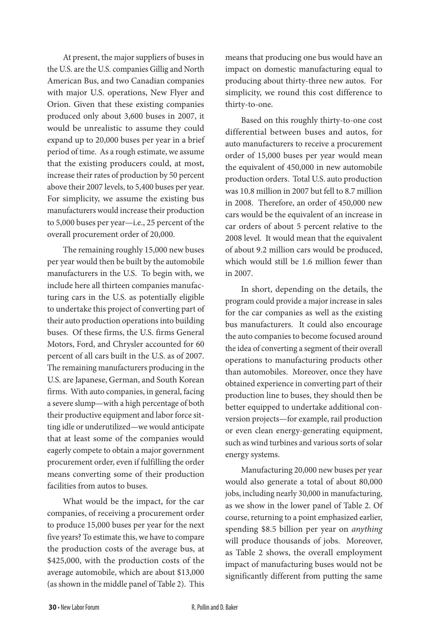At present, the major suppliers of buses in the U.S. are the U.S. companies Gillig and North American Bus, and two Canadian companies with major U.S. operations, New Flyer and Orion. Given that these existing companies produced only about 3,600 buses in 2007, it would be unrealistic to assume they could expand up to 20,000 buses per year in a brief period of time. As a rough estimate, we assume that the existing producers could, at most, increase their rates of production by 50 percent above their 2007 levels, to 5,400 buses per year. For simplicity, we assume the existing bus manufacturers would increase their production to 5,000 buses per year—i.e., 25 percent of the overall procurement order of 20,000.

The remaining roughly 15,000 new buses per year would then be built by the automobile manufacturers in the U.S. To begin with, we include here all thirteen companies manufacturing cars in the U.S. as potentially eligible to undertake this project of converting part of their auto production operations into building buses. Of these firms, the U.S. firms General Motors, Ford, and Chrysler accounted for 60 percent of all cars built in the U.S. as of 2007. The remaining manufacturers producing in the U.S. are Japanese, German, and South Korean firms. With auto companies, in general, facing a severe slump—with a high percentage of both their productive equipment and labor force sitting idle or underutilized—we would anticipate that at least some of the companies would eagerly compete to obtain a major government procurement order, even if fulfilling the order means converting some of their production facilities from autos to buses.

What would be the impact, for the car companies, of receiving a procurement order to produce 15,000 buses per year for the next five years? To estimate this, we have to compare the production costs of the average bus, at \$425,000, with the production costs of the average automobile, which are about \$13,000 (as shown in the middle panel of Table 2). This means that producing one bus would have an impact on domestic manufacturing equal to producing about thirty-three new autos. For simplicity, we round this cost difference to thirty-to-one.

Based on this roughly thirty-to-one cost differential between buses and autos, for auto manufacturers to receive a procurement order of 15,000 buses per year would mean the equivalent of 450,000 in new automobile production orders. Total U.S. auto production was 10.8 million in 2007 but fell to 8.7 million in 2008. Therefore, an order of 450,000 new cars would be the equivalent of an increase in car orders of about 5 percent relative to the 2008 level. It would mean that the equivalent of about 9.2 million cars would be produced, which would still be 1.6 million fewer than in 2007.

In short, depending on the details, the program could provide a major increase in sales for the car companies as well as the existing bus manufacturers. It could also encourage the auto companies to become focused around the idea of converting a segment of their overall operations to manufacturing products other than automobiles. Moreover, once they have obtained experience in converting part of their production line to buses, they should then be better equipped to undertake additional conversion projects—for example, rail production or even clean energy-generating equipment, such as wind turbines and various sorts of solar energy systems.

Manufacturing 20,000 new buses per year would also generate a total of about 80,000 jobs, including nearly 30,000 in manufacturing, as we show in the lower panel of Table 2. Of course, returning to a point emphasized earlier, spending \$8.5 billion per year on *anything* will produce thousands of jobs. Moreover, as Table 2 shows, the overall employment impact of manufacturing buses would not be significantly different from putting the same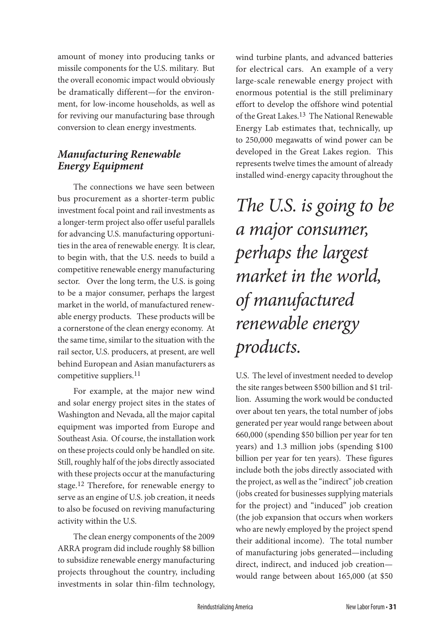amount of money into producing tanks or missile components for the U.S. military. But the overall economic impact would obviously be dramatically different—for the environment, for low-income households, as well as for reviving our manufacturing base through conversion to clean energy investments.

### *Manufacturing Renewable Energy Equipment*

The connections we have seen between bus procurement as a shorter-term public investment focal point and rail investments as a longer-term project also offer useful parallels for advancing U.S. manufacturing opportunities in the area of renewable energy. It is clear, to begin with, that the U.S. needs to build a competitive renewable energy manufacturing sector. Over the long term, the U.S. is going to be a major consumer, perhaps the largest market in the world, of manufactured renewable energy products. These products will be a cornerstone of the clean energy economy. At the same time, similar to the situation with the rail sector, U.S. producers, at present, are well behind European and Asian manufacturers as competitive suppliers.<sup>11</sup>

For example, at the major new wind and solar energy project sites in the states of Washington and Nevada, all the major capital equipment was imported from Europe and Southeast Asia. Of course, the installation work on these projects could only be handled on site. Still, roughly half of the jobs directly associated with these projects occur at the manufacturing stage.12 Therefore, for renewable energy to serve as an engine of U.S. job creation, it needs to also be focused on reviving manufacturing activity within the U.S.

The clean energy components of the 2009 ARRA program did include roughly \$8 billion to subsidize renewable energy manufacturing projects throughout the country, including investments in solar thin-film technology,

wind turbine plants, and advanced batteries for electrical cars. An example of a very large-scale renewable energy project with enormous potential is the still preliminary effort to develop the offshore wind potential of the Great Lakes.<sup>13</sup> The National Renewable Energy Lab estimates that, technically, up to 250,000 megawatts of wind power can be developed in the Great Lakes region. This represents twelve times the amount of already installed wind-energy capacity throughout the

*The U.S. is going to be a major consumer, perhaps the largest market in the world, of manufactured renewable energy products.* 

U.S. The level of investment needed to develop the site ranges between \$500 billion and \$1 trillion. Assuming the work would be conducted over about ten years, the total number of jobs generated per year would range between about 660,000 (spending \$50 billion per year for ten years) and 1.3 million jobs (spending \$100 billion per year for ten years). These figures include both the jobs directly associated with the project, as well as the "indirect" job creation (jobs created for businesses supplying materials for the project) and "induced" job creation (the job expansion that occurs when workers who are newly employed by the project spend their additional income). The total number of manufacturing jobs generated—including direct, indirect, and induced job creation would range between about 165,000 (at \$50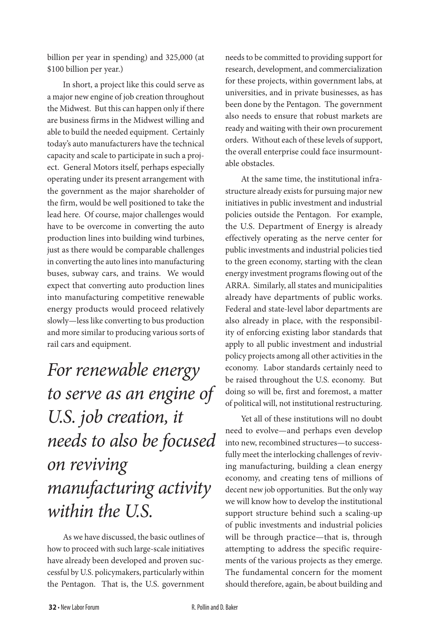billion per year in spending) and 325,000 (at \$100 billion per year.)

In short, a project like this could serve as a major new engine of job creation throughout the Midwest. But this can happen only if there are business firms in the Midwest willing and able to build the needed equipment. Certainly today's auto manufacturers have the technical capacity and scale to participate in such a project. General Motors itself, perhaps especially operating under its present arrangement with the government as the major shareholder of the firm, would be well positioned to take the lead here. Of course, major challenges would have to be overcome in converting the auto production lines into building wind turbines, just as there would be comparable challenges in converting the auto lines into manufacturing buses, subway cars, and trains. We would expect that converting auto production lines into manufacturing competitive renewable energy products would proceed relatively slowly—less like converting to bus production and more similar to producing various sorts of rail cars and equipment.

## *For renewable energy to serve as an engine of U.S. job creation, it needs to also be focused on reviving manufacturing activity within the U.S.*

As we have discussed, the basic outlines of how to proceed with such large-scale initiatives have already been developed and proven successful by U.S. policymakers, particularly within the Pentagon. That is, the U.S. government

needs to be committed to providing support for research, development, and commercialization for these projects, within government labs, at universities, and in private businesses, as has been done by the Pentagon. The government also needs to ensure that robust markets are ready and waiting with their own procurement orders. Without each of these levels of support, the overall enterprise could face insurmountable obstacles.

At the same time, the institutional infrastructure already exists for pursuing major new initiatives in public investment and industrial policies outside the Pentagon. For example, the U.S. Department of Energy is already effectively operating as the nerve center for public investments and industrial policies tied to the green economy, starting with the clean energy investment programs flowing out of the ARRA. Similarly, all states and municipalities already have departments of public works. Federal and state-level labor departments are also already in place, with the responsibility of enforcing existing labor standards that apply to all public investment and industrial policy projects among all other activities in the economy. Labor standards certainly need to be raised throughout the U.S. economy. But doing so will be, first and foremost, a matter of political will, not institutional restructuring.

Yet all of these institutions will no doubt need to evolve—and perhaps even develop into new, recombined structures—to successfully meet the interlocking challenges of reviving manufacturing, building a clean energy economy, and creating tens of millions of decent new job opportunities. But the only way we will know how to develop the institutional support structure behind such a scaling-up of public investments and industrial policies will be through practice—that is, through attempting to address the specific requirements of the various projects as they emerge. The fundamental concern for the moment should therefore, again, be about building and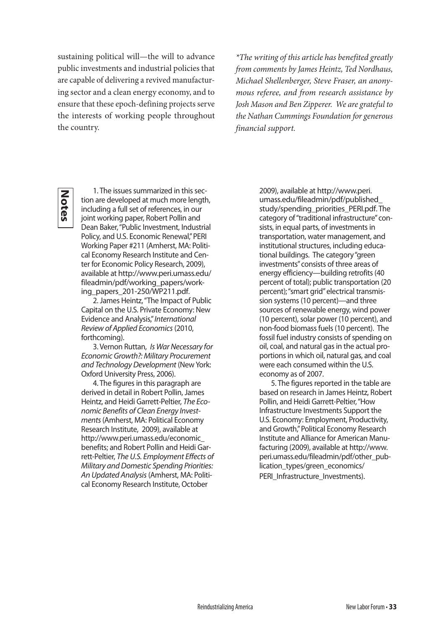sustaining political will—the will to advance public investments and industrial policies that are capable of delivering a revived manufacturing sector and a clean energy economy, and to ensure that these epoch-defining projects serve the interests of working people throughout the country.

*\*The writing of this article has benefited greatly from comments by James Heintz, Ted Nordhaus, Michael Shellenberger, Steve Fraser, an anonymous referee, and from research assistance by Josh Mason and Ben Zipperer. We are grateful to the Nathan Cummings Foundation for generous financial support.*

**Notes**

1. The issues summarized in this section are developed at much more length, including a full set of references, in our joint working paper, Robert Pollin and Dean Baker, "Public Investment, Industrial Policy, and U.S. Economic Renewal," PERI Working Paper #211 (Amherst, MA: Political Economy Research Institute and Center for Economic Policy Research, 2009), available at http://www.peri.umass.edu/ fileadmin/pdf/working\_papers/working\_papers\_201-250/WP211.pdf.

2. James Heintz, "The Impact of Public Capital on the U.S. Private Economy: New Evidence and Analysis," *International Review of Applied Economics* (2010, forthcoming).

3. Vernon Ruttan, *Is War Necessary for Economic Growth?: Military Procurement and Technology Development* (New York: Oxford University Press, 2006).

4. The figures in this paragraph are derived in detail in Robert Pollin, James Heintz, and Heidi Garrett-Peltier, *The Economic Benefits of Clean Energy Investments* (Amherst, MA: Political Economy Research Institute, 2009), available at http://www.peri.umass.edu/economic\_ benefits; and Robert Pollin and Heidi Garrett-Peltier, *The U.S. Employment Effects of Military and Domestic Spending Priorities: An Updated Analysis* (Amherst, MA: Political Economy Research Institute, October

2009), available at http://www.peri. umass.edu/fileadmin/pdf/published\_ study/spending\_priorities\_PERI.pdf. The category of "traditional infrastructure" consists, in equal parts, of investments in transportation, water management, and institutional structures, including educational buildings. The category "green investments" consists of three areas of energy efficiency—building retrofits (40 percent of total); public transportation (20 percent); "smart grid" electrical transmission systems (10 percent)—and three sources of renewable energy, wind power (10 percent), solar power (10 percent), and non-food biomass fuels (10 percent). The fossil fuel industry consists of spending on oil, coal, and natural gas in the actual proportions in which oil, natural gas, and coal were each consumed within the U.S. economy as of 2007.

5. The figures reported in the table are based on research in James Heintz, Robert Pollin, and Heidi Garrett-Peltier, "How Infrastructure Investments Support the U.S. Economy: Employment, Productivity, and Growth," Political Economy Research Institute and Alliance for American Manufacturing (2009), available at http://www. peri.umass.edu/fileadmin/pdf/other\_publication\_types/green\_economics/ PERI\_Infrastructure\_Investments).